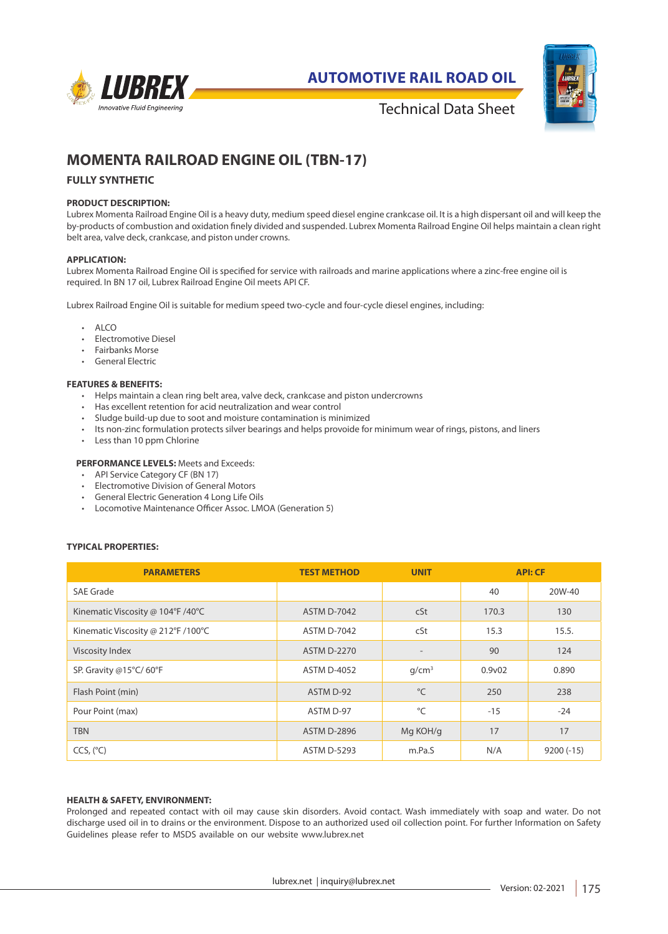

**AUTOMOTIVE RAIL ROAD OIL**



Technical Data Sheet

# **MOMENTA RAILROAD ENGINE OIL (TBN-17)**

## **FULLY SYNTHETIC**

## **PRODUCT DESCRIPTION:**

Lubrex Momenta Railroad Engine Oil is a heavy duty, medium speed diesel engine crankcase oil. It is a high dispersant oil and will keep the by-products of combustion and oxidation finely divided and suspended. Lubrex Momenta Railroad Engine Oil helps maintain a clean right belt area, valve deck, crankcase, and piston under crowns.

#### **APPLICATION:**

Lubrex Momenta Railroad Engine Oil is specified for service with railroads and marine applications where a zinc-free engine oil is required. In BN 17 oil, Lubrex Railroad Engine Oil meets API CF.

Lubrex Railroad Engine Oil is suitable for medium speed two-cycle and four-cycle diesel engines, including:

- ALCO
- Electromotive Diesel
- Fairbanks Morse
- General Electric

## **FEATURES & BENEFITS:**

- Helps maintain a clean ring belt area, valve deck, crankcase and piston undercrowns
- Has excellent retention for acid neutralization and wear control
- Sludge build-up due to soot and moisture contamination is minimized
- Its non-zinc formulation protects silver bearings and helps provoide for minimum wear of rings, pistons, and liners
- Less than 10 ppm Chlorine

### **PERFORMANCE LEVELS:** Meets and Exceeds:

- API Service Category CF (BN 17)
- Electromotive Division of General Motors
- General Electric Generation 4 Long Life Oils
- Locomotive Maintenance Officer Assoc. LMOA (Generation 5)

## **TYPICAL PROPERTIES:**

| <b>PARAMETERS</b>                  | <b>TEST METHOD</b> | <b>UNIT</b>       | <b>API: CF</b>      |             |
|------------------------------------|--------------------|-------------------|---------------------|-------------|
| SAE Grade                          |                    |                   | 40                  | 20W-40      |
| Kinematic Viscosity @ 104°F /40°C  | <b>ASTM D-7042</b> | cSt               | 170.3               | 130         |
| Kinematic Viscosity @ 212°F /100°C | <b>ASTM D-7042</b> | cSt               | 15.3                | 15.5.       |
| Viscosity Index                    | <b>ASTM D-2270</b> | $\qquad \qquad =$ | 90                  | 124         |
| SP. Gravity @15°C/60°F             | <b>ASTM D-4052</b> | q/cm <sup>3</sup> | 0.9 <sub>v</sub> 02 | 0.890       |
| Flash Point (min)                  | ASTM D-92          | $^{\circ}$ C      | 250                 | 238         |
| Pour Point (max)                   | ASTM D-97          | °C                | $-15$               | $-24$       |
| <b>TBN</b>                         | <b>ASTM D-2896</b> | Mg KOH/g          | 17                  | 17          |
| CCS, (°C)                          | <b>ASTM D-5293</b> | m.Pa.S            | N/A                 | $9200(-15)$ |

#### **HEALTH & SAFETY, ENVIRONMENT:**

Prolonged and repeated contact with oil may cause skin disorders. Avoid contact. Wash immediately with soap and water. Do not discharge used oil in to drains or the environment. Dispose to an authorized used oil collection point. For further Information on Safety Guidelines please refer to MSDS available on our website www.lubrex.net